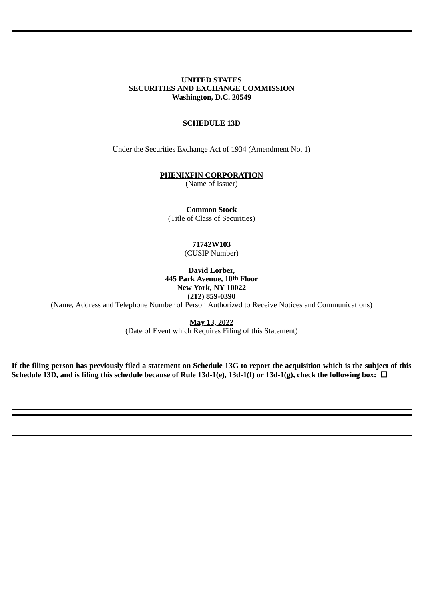## **UNITED STATES SECURITIES AND EXCHANGE COMMISSION Washington, D.C. 20549**

## **SCHEDULE 13D**

Under the Securities Exchange Act of 1934 (Amendment No. 1)

#### **PHENIXFIN CORPORATION**

(Name of Issuer)

**Common Stock** (Title of Class of Securities)

> **71742W103** (CUSIP Number)

**David Lorber, 445 Park Avenue, 10th Floor New York, NY 10022 (212) 859-0390**

(Name, Address and Telephone Number of Person Authorized to Receive Notices and Communications)

**May 13, 2022** (Date of Event which Requires Filing of this Statement)

**If the filing person has previously filed a statement on Schedule 13G to report the acquisition which is the subject of this** Schedule 13D, and is filing this schedule because of Rule 13d-1(e), 13d-1(f) or 13d-1(g), check the following box: □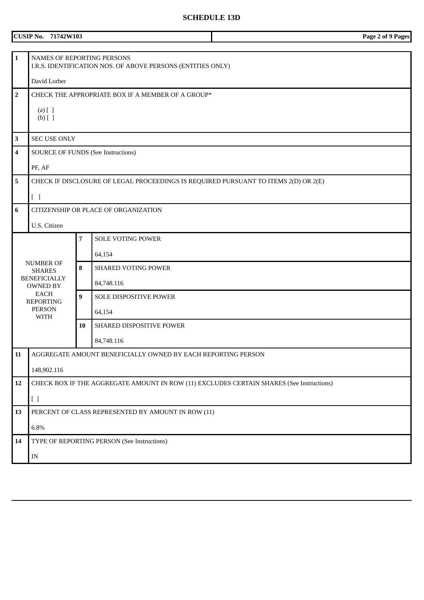# **SCHEDULE 13D**

|                | <b>CUSIP No. 71742W103</b>                                                                |                  |                                                                                     | Page 2 of 9 Pages |  |
|----------------|-------------------------------------------------------------------------------------------|------------------|-------------------------------------------------------------------------------------|-------------------|--|
|                |                                                                                           |                  |                                                                                     |                   |  |
| $\mathbf{1}$   | NAMES OF REPORTING PERSONS<br>I.R.S. IDENTIFICATION NOS. OF ABOVE PERSONS (ENTITIES ONLY) |                  |                                                                                     |                   |  |
|                | David Lorber                                                                              |                  |                                                                                     |                   |  |
| $\overline{2}$ |                                                                                           |                  | CHECK THE APPROPRIATE BOX IF A MEMBER OF A GROUP*                                   |                   |  |
|                | $(a)$ $[$ $]$                                                                             |                  |                                                                                     |                   |  |
|                | $(b)$ []                                                                                  |                  |                                                                                     |                   |  |
| 3              | <b>SEC USE ONLY</b>                                                                       |                  |                                                                                     |                   |  |
| 4              |                                                                                           |                  | <b>SOURCE OF FUNDS (See Instructions)</b>                                           |                   |  |
|                | PF, AF                                                                                    |                  |                                                                                     |                   |  |
| 5              |                                                                                           |                  | CHECK IF DISCLOSURE OF LEGAL PROCEEDINGS IS REQUIRED PURSUANT TO ITEMS 2(D) OR 2(E) |                   |  |
|                |                                                                                           |                  |                                                                                     |                   |  |
|                | [ ]                                                                                       |                  |                                                                                     |                   |  |
| 6              | CITIZENSHIP OR PLACE OF ORGANIZATION                                                      |                  |                                                                                     |                   |  |
|                | U.S. Citizen                                                                              |                  |                                                                                     |                   |  |
|                |                                                                                           | $\overline{7}$   | <b>SOLE VOTING POWER</b>                                                            |                   |  |
|                |                                                                                           |                  | 64,154                                                                              |                   |  |
|                | <b>NUMBER OF</b><br><b>SHARES</b>                                                         | 8                | <b>SHARED VOTING POWER</b>                                                          |                   |  |
|                | <b>BENEFICIALLY</b><br><b>OWNED BY</b>                                                    |                  | 84,748.116                                                                          |                   |  |
|                | <b>EACH</b><br><b>REPORTING</b>                                                           | $\boldsymbol{9}$ | SOLE DISPOSITIVE POWER                                                              |                   |  |
|                | <b>PERSON</b><br><b>WITH</b>                                                              |                  | 64,154                                                                              |                   |  |
|                |                                                                                           | 10               | SHARED DISPOSITIVE POWER                                                            |                   |  |
|                |                                                                                           |                  | 84,748.116                                                                          |                   |  |
| 11             | AGGREGATE AMOUNT BENEFICIALLY OWNED BY EACH REPORTING PERSON                              |                  |                                                                                     |                   |  |
|                | 148,902.116                                                                               |                  |                                                                                     |                   |  |
| 12             | CHECK BOX IF THE AGGREGATE AMOUNT IN ROW (11) EXCLUDES CERTAIN SHARES (See Instructions)  |                  |                                                                                     |                   |  |
|                | $[ \ ]$                                                                                   |                  |                                                                                     |                   |  |
| 13             | PERCENT OF CLASS REPRESENTED BY AMOUNT IN ROW (11)                                        |                  |                                                                                     |                   |  |
|                | $6.8\%$                                                                                   |                  |                                                                                     |                   |  |
| 14             |                                                                                           |                  | TYPE OF REPORTING PERSON (See Instructions)                                         |                   |  |
|                | $\ensuremath{\text{IN}}$                                                                  |                  |                                                                                     |                   |  |
|                |                                                                                           |                  |                                                                                     |                   |  |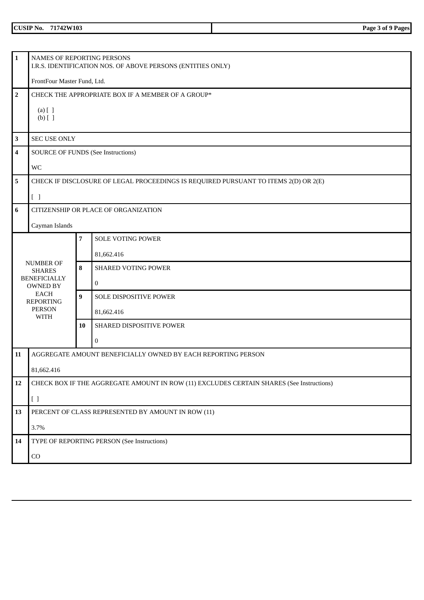| <b>CUSIP No.</b> | 742W103<br><b>124</b><br>__ | Page<br>, ot '<br>Pages<br>$\sim$ |
|------------------|-----------------------------|-----------------------------------|
|                  |                             |                                   |

| $\mathbf{1}$            | NAMES OF REPORTING PERSONS<br>I.R.S. IDENTIFICATION NOS. OF ABOVE PERSONS (ENTITIES ONLY) |                |                                                                                     |  |  |
|-------------------------|-------------------------------------------------------------------------------------------|----------------|-------------------------------------------------------------------------------------|--|--|
|                         |                                                                                           |                |                                                                                     |  |  |
|                         | FrontFour Master Fund, Ltd.                                                               |                |                                                                                     |  |  |
| $\overline{2}$          |                                                                                           |                | CHECK THE APPROPRIATE BOX IF A MEMBER OF A GROUP*                                   |  |  |
|                         | $(a)$ $[$ $]$                                                                             |                |                                                                                     |  |  |
|                         | $(b)$ []                                                                                  |                |                                                                                     |  |  |
| $\mathbf{3}$            | <b>SEC USE ONLY</b>                                                                       |                |                                                                                     |  |  |
| 4                       |                                                                                           |                | <b>SOURCE OF FUNDS (See Instructions)</b>                                           |  |  |
|                         | <b>WC</b>                                                                                 |                |                                                                                     |  |  |
| $\overline{\mathbf{5}}$ |                                                                                           |                | CHECK IF DISCLOSURE OF LEGAL PROCEEDINGS IS REQUIRED PURSUANT TO ITEMS 2(D) OR 2(E) |  |  |
|                         | $[\ ]$                                                                                    |                |                                                                                     |  |  |
| $6\phantom{1}6$         |                                                                                           |                | CITIZENSHIP OR PLACE OF ORGANIZATION                                                |  |  |
|                         | Cayman Islands                                                                            |                |                                                                                     |  |  |
|                         |                                                                                           | $\overline{7}$ | <b>SOLE VOTING POWER</b>                                                            |  |  |
|                         |                                                                                           |                | 81,662.416                                                                          |  |  |
|                         | <b>NUMBER OF</b><br><b>SHARES</b>                                                         | 8              | <b>SHARED VOTING POWER</b>                                                          |  |  |
|                         | <b>BENEFICIALLY</b><br><b>OWNED BY</b>                                                    |                | $\bf{0}$                                                                            |  |  |
|                         | EACH<br><b>REPORTING</b>                                                                  | 9              | SOLE DISPOSITIVE POWER                                                              |  |  |
|                         | <b>PERSON</b><br><b>WITH</b>                                                              |                | 81,662.416                                                                          |  |  |
|                         |                                                                                           | 10             | SHARED DISPOSITIVE POWER                                                            |  |  |
|                         |                                                                                           |                | $\bf{0}$                                                                            |  |  |
| 11                      | AGGREGATE AMOUNT BENEFICIALLY OWNED BY EACH REPORTING PERSON                              |                |                                                                                     |  |  |
|                         | 81,662.416                                                                                |                |                                                                                     |  |  |
| 12                      | CHECK BOX IF THE AGGREGATE AMOUNT IN ROW (11) EXCLUDES CERTAIN SHARES (See Instructions)  |                |                                                                                     |  |  |
|                         | [ ]                                                                                       |                |                                                                                     |  |  |
| 13                      | PERCENT OF CLASS REPRESENTED BY AMOUNT IN ROW (11)                                        |                |                                                                                     |  |  |
|                         | 3.7%                                                                                      |                |                                                                                     |  |  |
| 14                      |                                                                                           |                | TYPE OF REPORTING PERSON (See Instructions)                                         |  |  |
|                         | ${\rm CO}$                                                                                |                |                                                                                     |  |  |
|                         |                                                                                           |                |                                                                                     |  |  |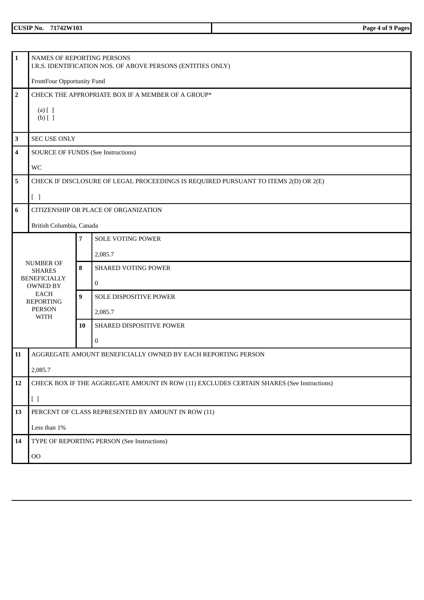| <b>CUSIP No.</b> | 742W103<br>. .<br>__ | Page<br>'ages<br>. of<br>. |
|------------------|----------------------|----------------------------|
|                  |                      |                            |

| $\mathbf{1}$   | NAMES OF REPORTING PERSONS<br>I.R.S. IDENTIFICATION NOS. OF ABOVE PERSONS (ENTITIES ONLY) |    |                                                                                          |  |  |
|----------------|-------------------------------------------------------------------------------------------|----|------------------------------------------------------------------------------------------|--|--|
|                | FrontFour Opportunity Fund                                                                |    |                                                                                          |  |  |
| $\overline{2}$ |                                                                                           |    | CHECK THE APPROPRIATE BOX IF A MEMBER OF A GROUP*                                        |  |  |
|                |                                                                                           |    |                                                                                          |  |  |
|                | $(a)$ $[$ $]$<br>$(b)$ []                                                                 |    |                                                                                          |  |  |
|                |                                                                                           |    |                                                                                          |  |  |
| 3              | <b>SEC USE ONLY</b>                                                                       |    |                                                                                          |  |  |
| $\overline{4}$ |                                                                                           |    | <b>SOURCE OF FUNDS (See Instructions)</b>                                                |  |  |
|                | WC                                                                                        |    |                                                                                          |  |  |
| 5              |                                                                                           |    | CHECK IF DISCLOSURE OF LEGAL PROCEEDINGS IS REQUIRED PURSUANT TO ITEMS 2(D) OR 2(E)      |  |  |
|                | $[ \ ]$                                                                                   |    |                                                                                          |  |  |
| 6              |                                                                                           |    | CITIZENSHIP OR PLACE OF ORGANIZATION                                                     |  |  |
|                | British Columbia, Canada                                                                  |    |                                                                                          |  |  |
| $\overline{7}$ |                                                                                           |    | <b>SOLE VOTING POWER</b>                                                                 |  |  |
|                |                                                                                           |    | 2,085.7                                                                                  |  |  |
|                | <b>NUMBER OF</b>                                                                          | 8  | <b>SHARED VOTING POWER</b>                                                               |  |  |
|                | <b>SHARES</b><br><b>BENEFICIALLY</b>                                                      |    |                                                                                          |  |  |
|                | <b>OWNED BY</b>                                                                           |    | $\mathbf{0}$                                                                             |  |  |
|                | <b>EACH</b><br><b>REPORTING</b>                                                           | 9  | SOLE DISPOSITIVE POWER                                                                   |  |  |
|                | <b>PERSON</b><br><b>WITH</b>                                                              |    | 2,085.7                                                                                  |  |  |
|                |                                                                                           | 10 | SHARED DISPOSITIVE POWER                                                                 |  |  |
|                |                                                                                           |    | 0                                                                                        |  |  |
| 11             |                                                                                           |    | AGGREGATE AMOUNT BENEFICIALLY OWNED BY EACH REPORTING PERSON                             |  |  |
|                | 2,085.7                                                                                   |    |                                                                                          |  |  |
| 12             |                                                                                           |    | CHECK BOX IF THE AGGREGATE AMOUNT IN ROW (11) EXCLUDES CERTAIN SHARES (See Instructions) |  |  |
|                | [ ]                                                                                       |    |                                                                                          |  |  |
| 13             | PERCENT OF CLASS REPRESENTED BY AMOUNT IN ROW (11)                                        |    |                                                                                          |  |  |
|                | Less than 1%                                                                              |    |                                                                                          |  |  |
| 14             |                                                                                           |    | TYPE OF REPORTING PERSON (See Instructions)                                              |  |  |
|                | $00\,$                                                                                    |    |                                                                                          |  |  |
|                |                                                                                           |    |                                                                                          |  |  |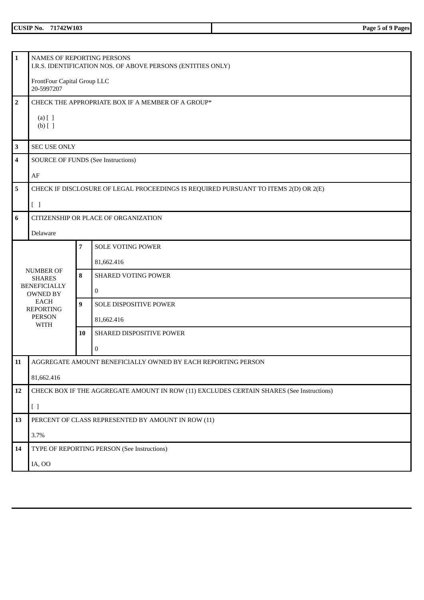| <b>CUSIP No.</b> | 71742W103<br>$\sim$ $\sim$ $\sim$ | Page<br>Pagesl<br>റ of<br>້ |
|------------------|-----------------------------------|-----------------------------|
|                  |                                   |                             |

|                                                                                                |                                                                                                           | I.R.S. IDENTIFICATION NOS. OF ABOVE PERSONS (ENTITIES ONLY)                                                                   |  |  |
|------------------------------------------------------------------------------------------------|-----------------------------------------------------------------------------------------------------------|-------------------------------------------------------------------------------------------------------------------------------|--|--|
|                                                                                                |                                                                                                           |                                                                                                                               |  |  |
| 20-5997207                                                                                     |                                                                                                           |                                                                                                                               |  |  |
| CHECK THE APPROPRIATE BOX IF A MEMBER OF A GROUP*                                              |                                                                                                           |                                                                                                                               |  |  |
| $(a)$ $[$ $]$                                                                                  |                                                                                                           |                                                                                                                               |  |  |
|                                                                                                |                                                                                                           |                                                                                                                               |  |  |
|                                                                                                |                                                                                                           |                                                                                                                               |  |  |
|                                                                                                |                                                                                                           |                                                                                                                               |  |  |
| AF                                                                                             |                                                                                                           |                                                                                                                               |  |  |
|                                                                                                |                                                                                                           | CHECK IF DISCLOSURE OF LEGAL PROCEEDINGS IS REQUIRED PURSUANT TO ITEMS 2(D) OR 2(E)                                           |  |  |
| $[\ ]$                                                                                         |                                                                                                           |                                                                                                                               |  |  |
|                                                                                                |                                                                                                           | CITIZENSHIP OR PLACE OF ORGANIZATION                                                                                          |  |  |
| Delaware                                                                                       |                                                                                                           |                                                                                                                               |  |  |
| $\overline{7}$<br><b>SOLE VOTING POWER</b>                                                     |                                                                                                           |                                                                                                                               |  |  |
|                                                                                                |                                                                                                           | 81,662.416                                                                                                                    |  |  |
| <b>SHARES</b>                                                                                  | 8                                                                                                         | <b>SHARED VOTING POWER</b>                                                                                                    |  |  |
|                                                                                                |                                                                                                           | $\bf{0}$                                                                                                                      |  |  |
| <b>EACH</b>                                                                                    | $\boldsymbol{9}$                                                                                          | SOLE DISPOSITIVE POWER                                                                                                        |  |  |
| <b>PERSON</b>                                                                                  |                                                                                                           | 81,662.416                                                                                                                    |  |  |
|                                                                                                | 10                                                                                                        | SHARED DISPOSITIVE POWER                                                                                                      |  |  |
|                                                                                                |                                                                                                           | 0                                                                                                                             |  |  |
| AGGREGATE AMOUNT BENEFICIALLY OWNED BY EACH REPORTING PERSON                                   |                                                                                                           |                                                                                                                               |  |  |
| 81,662.416                                                                                     |                                                                                                           |                                                                                                                               |  |  |
| 12<br>CHECK BOX IF THE AGGREGATE AMOUNT IN ROW (11) EXCLUDES CERTAIN SHARES (See Instructions) |                                                                                                           |                                                                                                                               |  |  |
| [ ]                                                                                            |                                                                                                           |                                                                                                                               |  |  |
| PERCENT OF CLASS REPRESENTED BY AMOUNT IN ROW (11)<br>13                                       |                                                                                                           |                                                                                                                               |  |  |
| 3.7%                                                                                           |                                                                                                           |                                                                                                                               |  |  |
|                                                                                                |                                                                                                           | TYPE OF REPORTING PERSON (See Instructions)                                                                                   |  |  |
| IA, OO                                                                                         |                                                                                                           |                                                                                                                               |  |  |
|                                                                                                | $(b)$ []<br><b>NUMBER OF</b><br><b>BENEFICIALLY</b><br><b>OWNED BY</b><br><b>REPORTING</b><br><b>WITH</b> | NAMES OF REPORTING PERSONS<br>FrontFour Capital Group LLC<br><b>SEC USE ONLY</b><br><b>SOURCE OF FUNDS (See Instructions)</b> |  |  |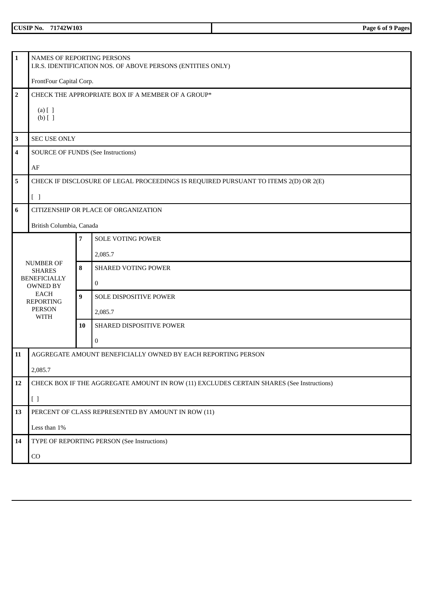| <b>CUSIP No.</b> | 42W103<br>- -<br>742W<br>__ | Page<br>6 of<br>ages<br>. |
|------------------|-----------------------------|---------------------------|
|                  |                             |                           |

| $\mathbf{1}$    | NAMES OF REPORTING PERSONS                                                               |                |                                                                                     |  |  |
|-----------------|------------------------------------------------------------------------------------------|----------------|-------------------------------------------------------------------------------------|--|--|
|                 | I.R.S. IDENTIFICATION NOS. OF ABOVE PERSONS (ENTITIES ONLY)                              |                |                                                                                     |  |  |
|                 | FrontFour Capital Corp.                                                                  |                |                                                                                     |  |  |
| $\mathbf 2$     |                                                                                          |                | CHECK THE APPROPRIATE BOX IF A MEMBER OF A GROUP*                                   |  |  |
|                 | $(a)$ $[$ $]$                                                                            |                |                                                                                     |  |  |
|                 | $(b)$ []                                                                                 |                |                                                                                     |  |  |
| $\mathbf 3$     | <b>SEC USE ONLY</b>                                                                      |                |                                                                                     |  |  |
| $\overline{4}$  | <b>SOURCE OF FUNDS (See Instructions)</b>                                                |                |                                                                                     |  |  |
|                 | AF                                                                                       |                |                                                                                     |  |  |
| 5               |                                                                                          |                | CHECK IF DISCLOSURE OF LEGAL PROCEEDINGS IS REQUIRED PURSUANT TO ITEMS 2(D) OR 2(E) |  |  |
|                 | $[\ ]$                                                                                   |                |                                                                                     |  |  |
| $6\phantom{1}6$ |                                                                                          |                | CITIZENSHIP OR PLACE OF ORGANIZATION                                                |  |  |
|                 | British Columbia, Canada                                                                 |                |                                                                                     |  |  |
|                 |                                                                                          | $\overline{7}$ | <b>SOLE VOTING POWER</b>                                                            |  |  |
|                 |                                                                                          |                | 2,085.7                                                                             |  |  |
|                 | <b>NUMBER OF</b><br><b>SHARES</b>                                                        | 8              | <b>SHARED VOTING POWER</b>                                                          |  |  |
|                 | <b>BENEFICIALLY</b><br><b>OWNED BY</b>                                                   |                | $\overline{0}$                                                                      |  |  |
|                 | <b>EACH</b><br><b>REPORTING</b>                                                          | 9              | SOLE DISPOSITIVE POWER                                                              |  |  |
|                 | <b>PERSON</b><br><b>WITH</b>                                                             |                | 2,085.7                                                                             |  |  |
|                 |                                                                                          | 10             | SHARED DISPOSITIVE POWER                                                            |  |  |
|                 |                                                                                          |                | 0                                                                                   |  |  |
| 11              | AGGREGATE AMOUNT BENEFICIALLY OWNED BY EACH REPORTING PERSON                             |                |                                                                                     |  |  |
|                 | 2,085.7                                                                                  |                |                                                                                     |  |  |
| 12              | CHECK BOX IF THE AGGREGATE AMOUNT IN ROW (11) EXCLUDES CERTAIN SHARES (See Instructions) |                |                                                                                     |  |  |
|                 | $[ \ ]$                                                                                  |                |                                                                                     |  |  |
| 13              | PERCENT OF CLASS REPRESENTED BY AMOUNT IN ROW (11)                                       |                |                                                                                     |  |  |
|                 | Less than 1%                                                                             |                |                                                                                     |  |  |
| 14              |                                                                                          |                | TYPE OF REPORTING PERSON (See Instructions)                                         |  |  |
|                 | $_{\rm CO}$                                                                              |                |                                                                                     |  |  |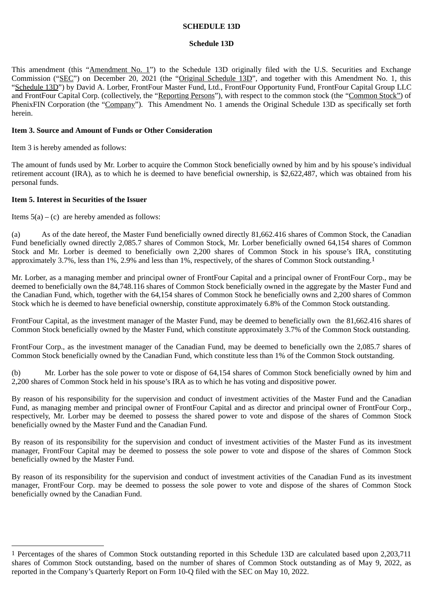# **SCHEDULE 13D**

## **Schedule 13D**

This amendment (this "Amendment No. 1") to the Schedule 13D originally filed with the U.S. Securities and Exchange Commission ("SEC") on December 20, 2021 (the "Original Schedule 13D", and together with this Amendment No. 1, this "Schedule 13D") by David A. Lorber, FrontFour Master Fund, Ltd., FrontFour Opportunity Fund, FrontFour Capital Group LLC and FrontFour Capital Corp. (collectively, the "Reporting Persons"), with respect to the common stock (the "Common Stock") of PhenixFIN Corporation (the "Company"). This Amendment No. 1 amends the Original Schedule 13D as specifically set forth herein.

# **Item 3. Source and Amount of Funds or Other Consideration**

Item 3 is hereby amended as follows:

The amount of funds used by Mr. Lorber to acquire the Common Stock beneficially owned by him and by his spouse's individual retirement account (IRA), as to which he is deemed to have beneficial ownership, is \$2,622,487, which was obtained from his personal funds.

# **Item 5. Interest in Securities of the Issuer**

Items  $5(a) - (c)$  are hereby amended as follows:

(a) As of the date hereof, the Master Fund beneficially owned directly 81,662.416 shares of Common Stock, the Canadian Fund beneficially owned directly 2,085.7 shares of Common Stock, Mr. Lorber beneficially owned 64,154 shares of Common Stock and Mr. Lorber is deemed to beneficially own 2,200 shares of Common Stock in his spouse's IRA, constituting approximately 3.7%, less than 1%, 2.9% and less than 1%, respectively, of the shares of Common Stock outstanding.1

Mr. Lorber, as a managing member and principal owner of FrontFour Capital and a principal owner of FrontFour Corp., may be deemed to beneficially own the 84,748.116 shares of Common Stock beneficially owned in the aggregate by the Master Fund and the Canadian Fund, which, together with the 64,154 shares of Common Stock he beneficially owns and 2,200 shares of Common Stock which he is deemed to have beneficial ownership, constitute approximately 6.8% of the Common Stock outstanding.

FrontFour Capital, as the investment manager of the Master Fund, may be deemed to beneficially own the 81,662.416 shares of Common Stock beneficially owned by the Master Fund, which constitute approximately 3.7% of the Common Stock outstanding.

FrontFour Corp., as the investment manager of the Canadian Fund, may be deemed to beneficially own the 2,085.7 shares of Common Stock beneficially owned by the Canadian Fund, which constitute less than 1% of the Common Stock outstanding.

(b) Mr. Lorber has the sole power to vote or dispose of 64,154 shares of Common Stock beneficially owned by him and 2,200 shares of Common Stock held in his spouse's IRA as to which he has voting and dispositive power.

By reason of his responsibility for the supervision and conduct of investment activities of the Master Fund and the Canadian Fund, as managing member and principal owner of FrontFour Capital and as director and principal owner of FrontFour Corp., respectively, Mr. Lorber may be deemed to possess the shared power to vote and dispose of the shares of Common Stock beneficially owned by the Master Fund and the Canadian Fund.

By reason of its responsibility for the supervision and conduct of investment activities of the Master Fund as its investment manager, FrontFour Capital may be deemed to possess the sole power to vote and dispose of the shares of Common Stock beneficially owned by the Master Fund.

By reason of its responsibility for the supervision and conduct of investment activities of the Canadian Fund as its investment manager, FrontFour Corp. may be deemed to possess the sole power to vote and dispose of the shares of Common Stock beneficially owned by the Canadian Fund.

<sup>1</sup> Percentages of the shares of Common Stock outstanding reported in this Schedule 13D are calculated based upon 2,203,711 shares of Common Stock outstanding, based on the number of shares of Common Stock outstanding as of May 9, 2022, as reported in the Company's Quarterly Report on Form 10-Q filed with the SEC on May 10, 2022.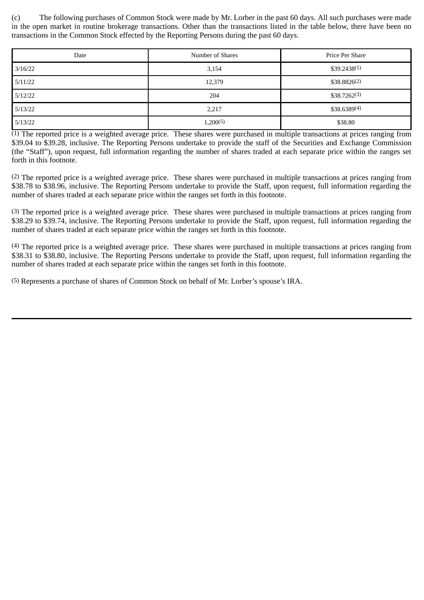(c) The following purchases of Common Stock were made by Mr. Lorber in the past 60 days. All such purchases were made in the open market in routine brokerage transactions. Other than the transactions listed in the table below, there have been no transactions in the Common Stock effected by the Reporting Persons during the past 60 days.

| Date    | Number of Shares | Price Per Share  |
|---------|------------------|------------------|
| 3/16/22 | 3,154            | $$39.2438^{(1)}$ |
| 5/11/22 | 12,379           | $$38.8826^{(2)}$ |
| 5/12/22 | 204              | $$38.7262^{(3)}$ |
| 5/13/22 | 2,217            | $$38.6389^{(4)}$ |
| 5/13/22 | 1,200(5)         | \$38.80          |

 $\overline{(1)}$  The reported price is a weighted average price. These shares were purchased in multiple transactions at prices ranging from \$39.04 to \$39.28, inclusive. The Reporting Persons undertake to provide the staff of the Securities and Exchange Commission (the "Staff"), upon request, full information regarding the number of shares traded at each separate price within the ranges set forth in this footnote.

(2) The reported price is a weighted average price. These shares were purchased in multiple transactions at prices ranging from \$38.78 to \$38.96, inclusive. The Reporting Persons undertake to provide the Staff, upon request, full information regarding the number of shares traded at each separate price within the ranges set forth in this footnote.

(3) The reported price is a weighted average price. These shares were purchased in multiple transactions at prices ranging from \$38.29 to \$39.74, inclusive. The Reporting Persons undertake to provide the Staff, upon request, full information regarding the number of shares traded at each separate price within the ranges set forth in this footnote.

(4) The reported price is a weighted average price. These shares were purchased in multiple transactions at prices ranging from \$38.31 to \$38.80, inclusive. The Reporting Persons undertake to provide the Staff, upon request, full information regarding the number of shares traded at each separate price within the ranges set forth in this footnote.

(5) Represents a purchase of shares of Common Stock on behalf of Mr. Lorber's spouse's IRA.